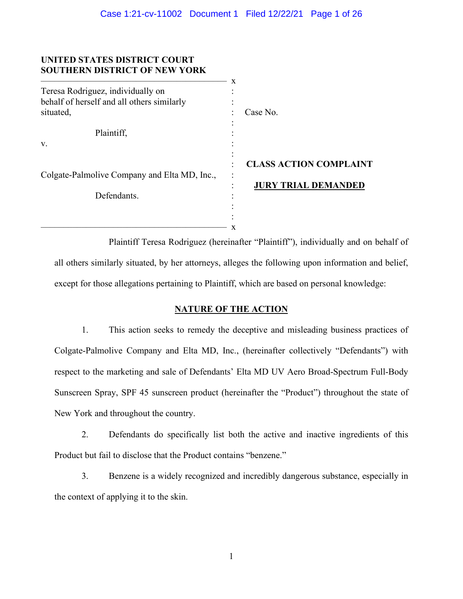## **UNITED STATES DISTRICT COURT SOUTHERN DISTRICT OF NEW YORK**

|                                              | X |                               |
|----------------------------------------------|---|-------------------------------|
| Teresa Rodriguez, individually on            |   |                               |
| behalf of herself and all others similarly   |   |                               |
| situated,                                    |   | Case No.                      |
|                                              |   |                               |
| Plaintiff,                                   |   |                               |
| V.                                           |   |                               |
|                                              |   |                               |
|                                              |   | <b>CLASS ACTION COMPLAINT</b> |
| Colgate-Palmolive Company and Elta MD, Inc., |   |                               |
|                                              |   | <b>JURY TRIAL DEMANDED</b>    |
| Defendants.                                  |   |                               |
|                                              |   |                               |
|                                              |   |                               |
|                                              | x |                               |

Plaintiff Teresa Rodriguez (hereinafter "Plaintiff"), individually and on behalf of all others similarly situated, by her attorneys, alleges the following upon information and belief, except for those allegations pertaining to Plaintiff, which are based on personal knowledge:

# **NATURE OF THE ACTION**

1. This action seeks to remedy the deceptive and misleading business practices of Colgate-Palmolive Company and Elta MD, Inc., (hereinafter collectively "Defendants") with respect to the marketing and sale of Defendants' Elta MD UV Aero Broad-Spectrum Full-Body Sunscreen Spray, SPF 45 sunscreen product (hereinafter the "Product") throughout the state of New York and throughout the country.

2. Defendants do specifically list both the active and inactive ingredients of this Product but fail to disclose that the Product contains "benzene."

3. Benzene is a widely recognized and incredibly dangerous substance, especially in the context of applying it to the skin.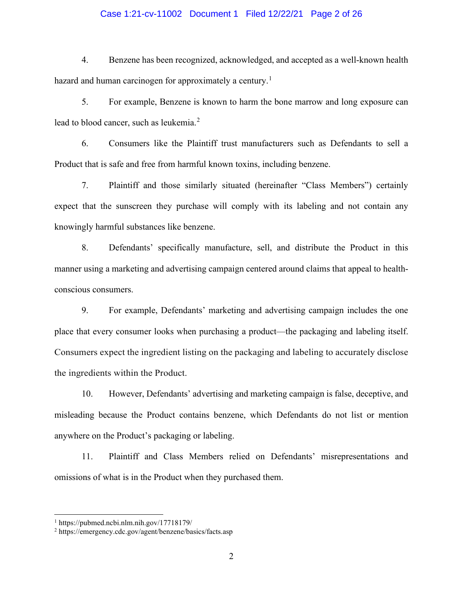## Case 1:21-cv-11002 Document 1 Filed 12/22/21 Page 2 of 26

4. Benzene has been recognized, acknowledged, and accepted as a well-known health hazard and human carcinogen for approximately a century.<sup>[1](#page-1-0)</sup>

5. For example, Benzene is known to harm the bone marrow and long exposure can lead to blood cancer, such as leukemia.<sup>[2](#page-1-1)</sup>

6. Consumers like the Plaintiff trust manufacturers such as Defendants to sell a Product that is safe and free from harmful known toxins, including benzene.

7. Plaintiff and those similarly situated (hereinafter "Class Members") certainly expect that the sunscreen they purchase will comply with its labeling and not contain any knowingly harmful substances like benzene.

8. Defendants' specifically manufacture, sell, and distribute the Product in this manner using a marketing and advertising campaign centered around claims that appeal to healthconscious consumers.

9. For example, Defendants' marketing and advertising campaign includes the one place that every consumer looks when purchasing a product—the packaging and labeling itself. Consumers expect the ingredient listing on the packaging and labeling to accurately disclose the ingredients within the Product.

10. However, Defendants' advertising and marketing campaign is false, deceptive, and misleading because the Product contains benzene, which Defendants do not list or mention anywhere on the Product's packaging or labeling.

11. Plaintiff and Class Members relied on Defendants' misrepresentations and omissions of what is in the Product when they purchased them.

<span id="page-1-0"></span> $1 \text{ https://pubmed.ncbi.nlm.nih.gov/17718179/}$ 

<span id="page-1-1"></span><sup>2</sup> https://emergency.cdc.gov/agent/benzene/basics/facts.asp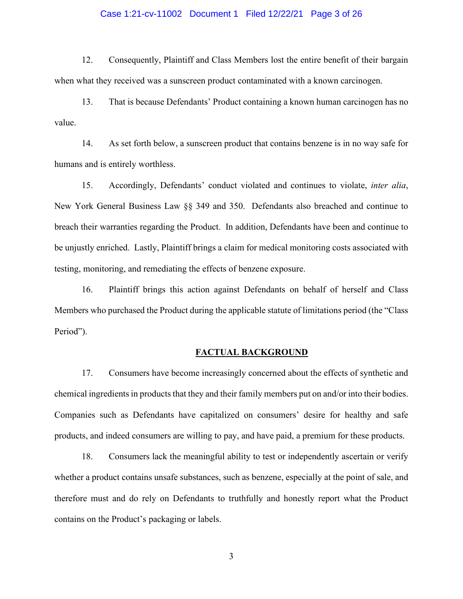## Case 1:21-cv-11002 Document 1 Filed 12/22/21 Page 3 of 26

12. Consequently, Plaintiff and Class Members lost the entire benefit of their bargain when what they received was a sunscreen product contaminated with a known carcinogen.

13. That is because Defendants' Product containing a known human carcinogen has no value.

14. As set forth below, a sunscreen product that contains benzene is in no way safe for humans and is entirely worthless.

15. Accordingly, Defendants' conduct violated and continues to violate, *inter alia*, New York General Business Law §§ 349 and 350. Defendants also breached and continue to breach their warranties regarding the Product. In addition, Defendants have been and continue to be unjustly enriched. Lastly, Plaintiff brings a claim for medical monitoring costs associated with testing, monitoring, and remediating the effects of benzene exposure.

16. Plaintiff brings this action against Defendants on behalf of herself and Class Members who purchased the Product during the applicable statute of limitations period (the "Class Period").

#### **FACTUAL BACKGROUND**

17. Consumers have become increasingly concerned about the effects of synthetic and chemical ingredients in products that they and their family members put on and/or into their bodies. Companies such as Defendants have capitalized on consumers' desire for healthy and safe products, and indeed consumers are willing to pay, and have paid, a premium for these products.

18. Consumers lack the meaningful ability to test or independently ascertain or verify whether a product contains unsafe substances, such as benzene, especially at the point of sale, and therefore must and do rely on Defendants to truthfully and honestly report what the Product contains on the Product's packaging or labels.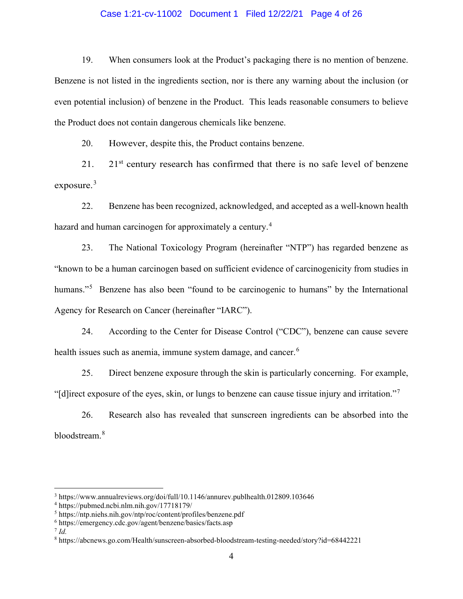## Case 1:21-cv-11002 Document 1 Filed 12/22/21 Page 4 of 26

19. When consumers look at the Product's packaging there is no mention of benzene. Benzene is not listed in the ingredients section, nor is there any warning about the inclusion (or even potential inclusion) of benzene in the Product. This leads reasonable consumers to believe the Product does not contain dangerous chemicals like benzene.

20. However, despite this, the Product contains benzene.

21. 21st century research has confirmed that there is no safe level of benzene exposure. $3$ 

22. Benzene has been recognized, acknowledged, and accepted as a well-known health hazard and human carcinogen for approximately a century.<sup>[4](#page-3-1)</sup>

23. The National Toxicology Program (hereinafter "NTP") has regarded benzene as "known to be a human carcinogen based on sufficient evidence of carcinogenicity from studies in humans."<sup>[5](#page-3-2)</sup> Benzene has also been "found to be carcinogenic to humans" by the International Agency for Research on Cancer (hereinafter "IARC").

24. According to the Center for Disease Control ("CDC"), benzene can cause severe health issues such as anemia, immune system damage, and cancer.<sup>[6](#page-3-3)</sup>

25. Direct benzene exposure through the skin is particularly concerning. For example, "[d]irect exposure of the eyes, skin, or lungs to benzene can cause tissue injury and irritation."[7](#page-3-4)

26. Research also has revealed that sunscreen ingredients can be absorbed into the bloodstream.[8](#page-3-5)

<span id="page-3-0"></span><sup>3</sup> https://www.annualreviews.org/doi/full/10.1146/annurev.publhealth.012809.103646

<span id="page-3-1"></span><sup>4</sup> https://pubmed.ncbi.nlm.nih.gov/17718179/

<span id="page-3-2"></span><sup>5</sup> https://ntp.niehs.nih.gov/ntp/roc/content/profiles/benzene.pdf

<span id="page-3-3"></span><sup>6</sup> https://emergency.cdc.gov/agent/benzene/basics/facts.asp

<span id="page-3-4"></span> $^7$  *Id.* 

<span id="page-3-5"></span><sup>8</sup> https://abcnews.go.com/Health/sunscreen-absorbed-bloodstream-testing-needed/story?id=68442221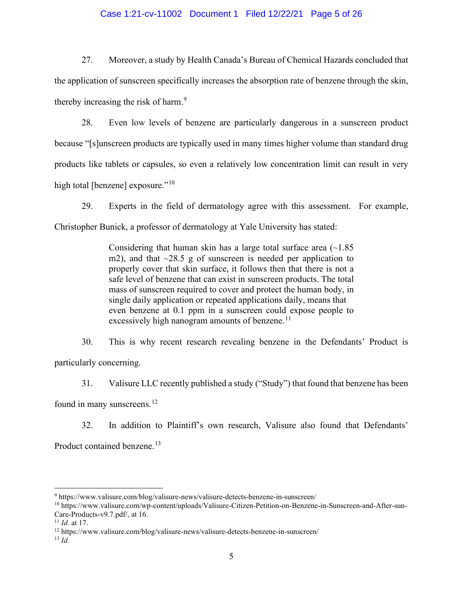## Case 1:21-cv-11002 Document 1 Filed 12/22/21 Page 5 of 26

27. Moreover, a study by Health Canada's Bureau of Chemical Hazards concluded that the application of sunscreen specifically increases the absorption rate of benzene through the skin, thereby increasing the risk of harm.<sup>[9](#page-4-0)</sup>

28. Even low levels of benzene are particularly dangerous in a sunscreen product because "[s]unscreen products are typically used in many times higher volume than standard drug products like tablets or capsules, so even a relatively low concentration limit can result in very high total [benzene] exposure."<sup>[10](#page-4-1)</sup>

29. Experts in the field of dermatology agree with this assessment. For example, Christopher Bunick, a professor of dermatology at Yale University has stated:

> Considering that human skin has a large total surface area  $(\sim 1.85$ m2), and that  $\sim$ 28.5 g of sunscreen is needed per application to properly cover that skin surface, it follows then that there is not a safe level of benzene that can exist in sunscreen products. The total mass of sunscreen required to cover and protect the human body, in single daily application or repeated applications daily, means that even benzene at 0.1 ppm in a sunscreen could expose people to excessively high nanogram amounts of benzene.<sup>[11](#page-4-2)</sup>

30. This is why recent research revealing benzene in the Defendants' Product is particularly concerning.

31. Valisure LLC recently published a study ("Study") that found that benzene has been found in many sunscreens.<sup>12</sup>

32. In addition to Plaintiff's own research, Valisure also found that Defendants' Product contained benzene.<sup>[13](#page-4-4)</sup>

<span id="page-4-0"></span><sup>9</sup> https://www.valisure.com/blog/valisure-news/valisure-detects-benzene-in-sunscreen/

<span id="page-4-1"></span><sup>10</sup> https://www.valisure.com/wp-content/uploads/Valisure-Citizen-Petition-on-Benzene-in-Sunscreen-and-After-sun-Care-Products-v9.7.pdf/, at 16.<br> $^{11}$  *Id.* at 17.

<span id="page-4-2"></span>

<span id="page-4-3"></span><sup>&</sup>lt;sup>12</sup> https://www.valisure.com/blog/valisure-news/valisure-detects-benzene-in-sunscreen/

<span id="page-4-4"></span><sup>13</sup> *Id.*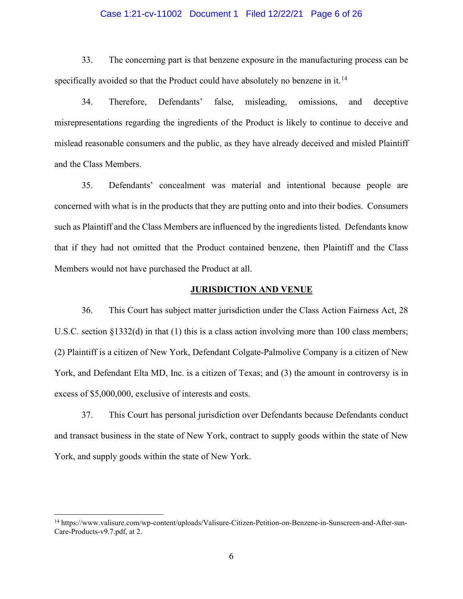## Case 1:21-cv-11002 Document 1 Filed 12/22/21 Page 6 of 26

33. The concerning part is that benzene exposure in the manufacturing process can be specifically avoided so that the Product could have absolutely no benzene in it.<sup>[14](#page-5-0)</sup>

34. Therefore, Defendants' false, misleading, omissions, and deceptive misrepresentations regarding the ingredients of the Product is likely to continue to deceive and mislead reasonable consumers and the public, as they have already deceived and misled Plaintiff and the Class Members.

35. Defendants' concealment was material and intentional because people are concerned with what is in the products that they are putting onto and into their bodies. Consumers such as Plaintiff and the Class Members are influenced by the ingredients listed. Defendants know that if they had not omitted that the Product contained benzene, then Plaintiff and the Class Members would not have purchased the Product at all.

## **JURISDICTION AND VENUE**

36. This Court has subject matter jurisdiction under the Class Action Fairness Act, 28 U.S.C. section §1332(d) in that (1) this is a class action involving more than 100 class members; (2) Plaintiff is a citizen of New York, Defendant Colgate-Palmolive Company is a citizen of New York, and Defendant Elta MD, Inc. is a citizen of Texas; and (3) the amount in controversy is in excess of \$5,000,000, exclusive of interests and costs.

37. This Court has personal jurisdiction over Defendants because Defendants conduct and transact business in the state of New York, contract to supply goods within the state of New York, and supply goods within the state of New York.

<span id="page-5-0"></span><sup>14</sup> https://www.valisure.com/wp-content/uploads/Valisure-Citizen-Petition-on-Benzene-in-Sunscreen-and-After-sun-Care-Products-v9.7.pdf, at 2.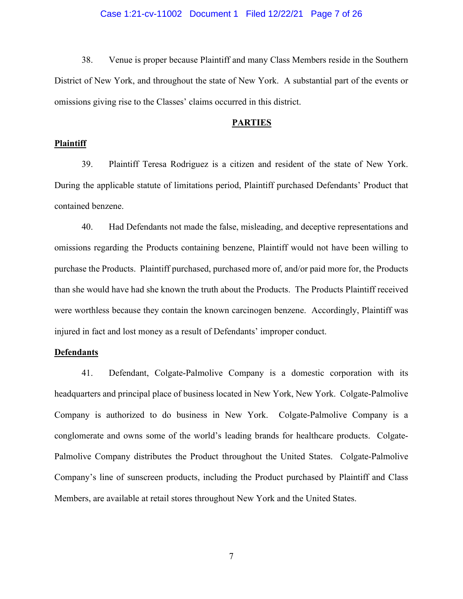### Case 1:21-cv-11002 Document 1 Filed 12/22/21 Page 7 of 26

38. Venue is proper because Plaintiff and many Class Members reside in the Southern District of New York, and throughout the state of New York. A substantial part of the events or omissions giving rise to the Classes' claims occurred in this district.

#### **PARTIES**

#### **Plaintiff**

39. Plaintiff Teresa Rodriguez is a citizen and resident of the state of New York. During the applicable statute of limitations period, Plaintiff purchased Defendants' Product that contained benzene.

40. Had Defendants not made the false, misleading, and deceptive representations and omissions regarding the Products containing benzene, Plaintiff would not have been willing to purchase the Products. Plaintiff purchased, purchased more of, and/or paid more for, the Products than she would have had she known the truth about the Products. The Products Plaintiff received were worthless because they contain the known carcinogen benzene. Accordingly, Plaintiff was injured in fact and lost money as a result of Defendants' improper conduct.

## **Defendants**

41. Defendant, Colgate-Palmolive Company is a domestic corporation with its headquarters and principal place of business located in New York, New York. Colgate-Palmolive Company is authorized to do business in New York. Colgate-Palmolive Company is a conglomerate and owns some of the world's leading brands for healthcare products. Colgate-Palmolive Company distributes the Product throughout the United States. Colgate-Palmolive Company's line of sunscreen products, including the Product purchased by Plaintiff and Class Members, are available at retail stores throughout New York and the United States.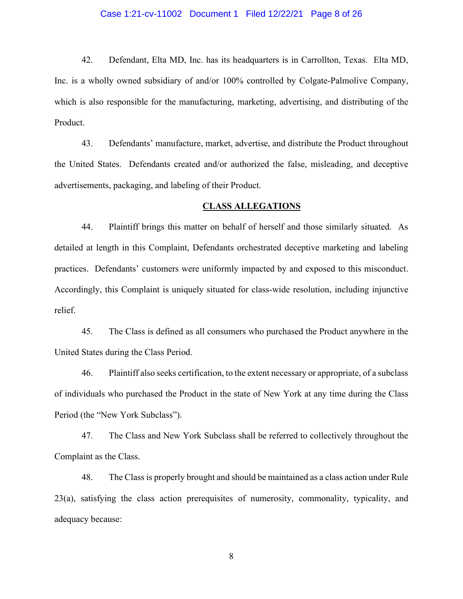## Case 1:21-cv-11002 Document 1 Filed 12/22/21 Page 8 of 26

42. Defendant, Elta MD, Inc. has its headquarters is in Carrollton, Texas. Elta MD, Inc. is a wholly owned subsidiary of and/or 100% controlled by Colgate-Palmolive Company, which is also responsible for the manufacturing, marketing, advertising, and distributing of the Product.

43. Defendants' manufacture, market, advertise, and distribute the Product throughout the United States. Defendants created and/or authorized the false, misleading, and deceptive advertisements, packaging, and labeling of their Product.

#### **CLASS ALLEGATIONS**

44. Plaintiff brings this matter on behalf of herself and those similarly situated. As detailed at length in this Complaint, Defendants orchestrated deceptive marketing and labeling practices. Defendants' customers were uniformly impacted by and exposed to this misconduct. Accordingly, this Complaint is uniquely situated for class-wide resolution, including injunctive relief.

45. The Class is defined as all consumers who purchased the Product anywhere in the United States during the Class Period.

46. Plaintiff also seeks certification, to the extent necessary or appropriate, of a subclass of individuals who purchased the Product in the state of New York at any time during the Class Period (the "New York Subclass").

47. The Class and New York Subclass shall be referred to collectively throughout the Complaint as the Class.

48. The Class is properly brought and should be maintained as a class action under Rule 23(a), satisfying the class action prerequisites of numerosity, commonality, typicality, and adequacy because: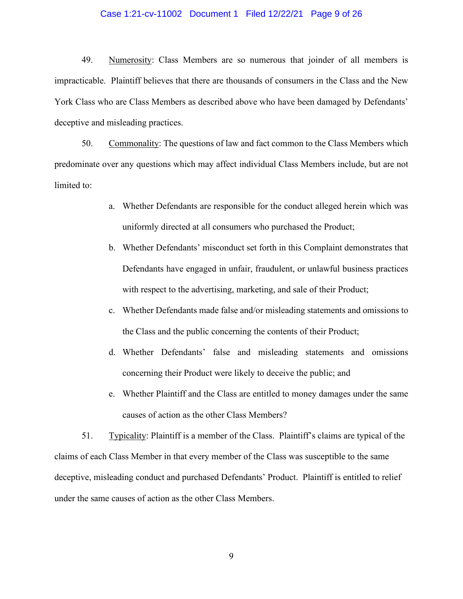## Case 1:21-cv-11002 Document 1 Filed 12/22/21 Page 9 of 26

49. Numerosity: Class Members are so numerous that joinder of all members is impracticable. Plaintiff believes that there are thousands of consumers in the Class and the New York Class who are Class Members as described above who have been damaged by Defendants' deceptive and misleading practices.

50. Commonality: The questions of law and fact common to the Class Members which predominate over any questions which may affect individual Class Members include, but are not limited to:

- a. Whether Defendants are responsible for the conduct alleged herein which was uniformly directed at all consumers who purchased the Product;
- b. Whether Defendants' misconduct set forth in this Complaint demonstrates that Defendants have engaged in unfair, fraudulent, or unlawful business practices with respect to the advertising, marketing, and sale of their Product;
- c. Whether Defendants made false and/or misleading statements and omissions to the Class and the public concerning the contents of their Product;
- d. Whether Defendants' false and misleading statements and omissions concerning their Product were likely to deceive the public; and
- e. Whether Plaintiff and the Class are entitled to money damages under the same causes of action as the other Class Members?

51. Typicality: Plaintiff is a member of the Class. Plaintiff's claims are typical of the claims of each Class Member in that every member of the Class was susceptible to the same deceptive, misleading conduct and purchased Defendants' Product. Plaintiff is entitled to relief under the same causes of action as the other Class Members.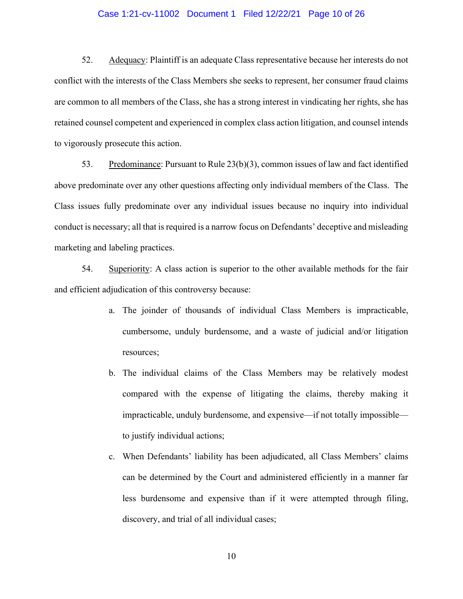## Case 1:21-cv-11002 Document 1 Filed 12/22/21 Page 10 of 26

52. Adequacy: Plaintiff is an adequate Class representative because her interests do not conflict with the interests of the Class Members she seeks to represent, her consumer fraud claims are common to all members of the Class, she has a strong interest in vindicating her rights, she has retained counsel competent and experienced in complex class action litigation, and counsel intends to vigorously prosecute this action.

53. Predominance: Pursuant to Rule 23(b)(3), common issues of law and fact identified above predominate over any other questions affecting only individual members of the Class. The Class issues fully predominate over any individual issues because no inquiry into individual conduct is necessary; all that is required is a narrow focus on Defendants' deceptive and misleading marketing and labeling practices.

54. Superiority: A class action is superior to the other available methods for the fair and efficient adjudication of this controversy because:

- a. The joinder of thousands of individual Class Members is impracticable, cumbersome, unduly burdensome, and a waste of judicial and/or litigation resources;
- b. The individual claims of the Class Members may be relatively modest compared with the expense of litigating the claims, thereby making it impracticable, unduly burdensome, and expensive—if not totally impossible to justify individual actions;
- c. When Defendants' liability has been adjudicated, all Class Members' claims can be determined by the Court and administered efficiently in a manner far less burdensome and expensive than if it were attempted through filing, discovery, and trial of all individual cases;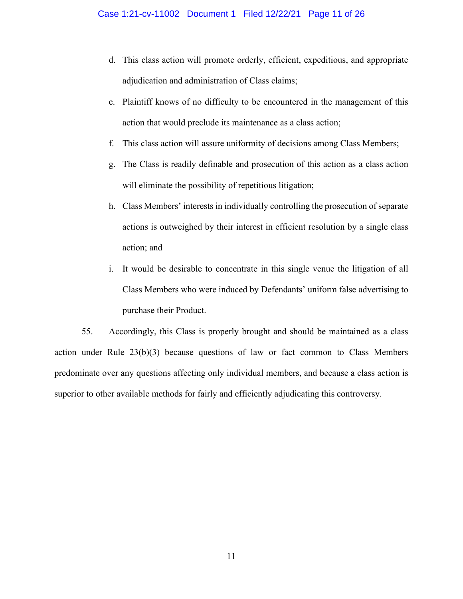- d. This class action will promote orderly, efficient, expeditious, and appropriate adjudication and administration of Class claims;
- e. Plaintiff knows of no difficulty to be encountered in the management of this action that would preclude its maintenance as a class action;
- f. This class action will assure uniformity of decisions among Class Members;
- g. The Class is readily definable and prosecution of this action as a class action will eliminate the possibility of repetitious litigation;
- h. Class Members' interests in individually controlling the prosecution of separate actions is outweighed by their interest in efficient resolution by a single class action; and
- i. It would be desirable to concentrate in this single venue the litigation of all Class Members who were induced by Defendants' uniform false advertising to purchase their Product.

55. Accordingly, this Class is properly brought and should be maintained as a class action under Rule 23(b)(3) because questions of law or fact common to Class Members predominate over any questions affecting only individual members, and because a class action is superior to other available methods for fairly and efficiently adjudicating this controversy.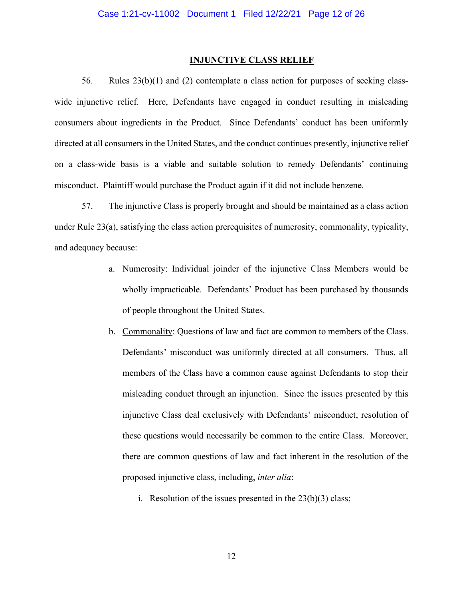#### **INJUNCTIVE CLASS RELIEF**

56. Rules  $23(b)(1)$  and (2) contemplate a class action for purposes of seeking classwide injunctive relief. Here, Defendants have engaged in conduct resulting in misleading consumers about ingredients in the Product. Since Defendants' conduct has been uniformly directed at all consumers in the United States, and the conduct continues presently, injunctive relief on a class-wide basis is a viable and suitable solution to remedy Defendants' continuing misconduct. Plaintiff would purchase the Product again if it did not include benzene.

57. The injunctive Class is properly brought and should be maintained as a class action under Rule 23(a), satisfying the class action prerequisites of numerosity, commonality, typicality, and adequacy because:

- a. Numerosity: Individual joinder of the injunctive Class Members would be wholly impracticable. Defendants' Product has been purchased by thousands of people throughout the United States.
- b. Commonality: Questions of law and fact are common to members of the Class. Defendants' misconduct was uniformly directed at all consumers. Thus, all members of the Class have a common cause against Defendants to stop their misleading conduct through an injunction. Since the issues presented by this injunctive Class deal exclusively with Defendants' misconduct, resolution of these questions would necessarily be common to the entire Class. Moreover, there are common questions of law and fact inherent in the resolution of the proposed injunctive class, including, *inter alia*:
	- i. Resolution of the issues presented in the  $23(b)(3)$  class;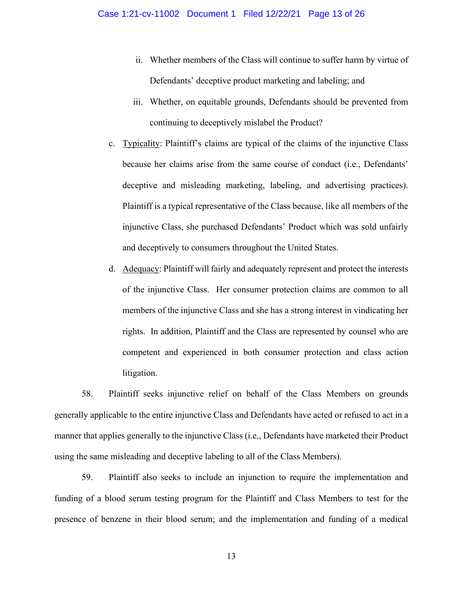- ii. Whether members of the Class will continue to suffer harm by virtue of Defendants' deceptive product marketing and labeling; and
- iii. Whether, on equitable grounds, Defendants should be prevented from continuing to deceptively mislabel the Product?
- c. Typicality: Plaintiff's claims are typical of the claims of the injunctive Class because her claims arise from the same course of conduct (i.e., Defendants' deceptive and misleading marketing, labeling, and advertising practices). Plaintiff is a typical representative of the Class because, like all members of the injunctive Class, she purchased Defendants' Product which was sold unfairly and deceptively to consumers throughout the United States.
- d. Adequacy: Plaintiff will fairly and adequately represent and protect the interests of the injunctive Class. Her consumer protection claims are common to all members of the injunctive Class and she has a strong interest in vindicating her rights. In addition, Plaintiff and the Class are represented by counsel who are competent and experienced in both consumer protection and class action litigation.

58. Plaintiff seeks injunctive relief on behalf of the Class Members on grounds generally applicable to the entire injunctive Class and Defendants have acted or refused to act in a manner that applies generally to the injunctive Class (i.e., Defendants have marketed their Product using the same misleading and deceptive labeling to all of the Class Members).

59. Plaintiff also seeks to include an injunction to require the implementation and funding of a blood serum testing program for the Plaintiff and Class Members to test for the presence of benzene in their blood serum; and the implementation and funding of a medical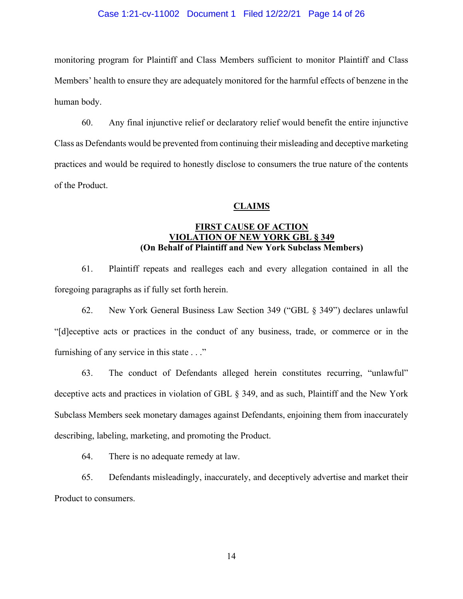## Case 1:21-cv-11002 Document 1 Filed 12/22/21 Page 14 of 26

monitoring program for Plaintiff and Class Members sufficient to monitor Plaintiff and Class Members' health to ensure they are adequately monitored for the harmful effects of benzene in the human body.

60. Any final injunctive relief or declaratory relief would benefit the entire injunctive Class as Defendants would be prevented from continuing their misleading and deceptive marketing practices and would be required to honestly disclose to consumers the true nature of the contents of the Product.

#### **CLAIMS**

## **FIRST CAUSE OF ACTION VIOLATION OF NEW YORK GBL § 349 (On Behalf of Plaintiff and New York Subclass Members)**

61. Plaintiff repeats and realleges each and every allegation contained in all the foregoing paragraphs as if fully set forth herein.

62. New York General Business Law Section 349 ("GBL § 349") declares unlawful "[d]eceptive acts or practices in the conduct of any business, trade, or commerce or in the furnishing of any service in this state . . ."

63. The conduct of Defendants alleged herein constitutes recurring, "unlawful" deceptive acts and practices in violation of GBL § 349, and as such, Plaintiff and the New York Subclass Members seek monetary damages against Defendants, enjoining them from inaccurately describing, labeling, marketing, and promoting the Product.

64. There is no adequate remedy at law.

65. Defendants misleadingly, inaccurately, and deceptively advertise and market their Product to consumers.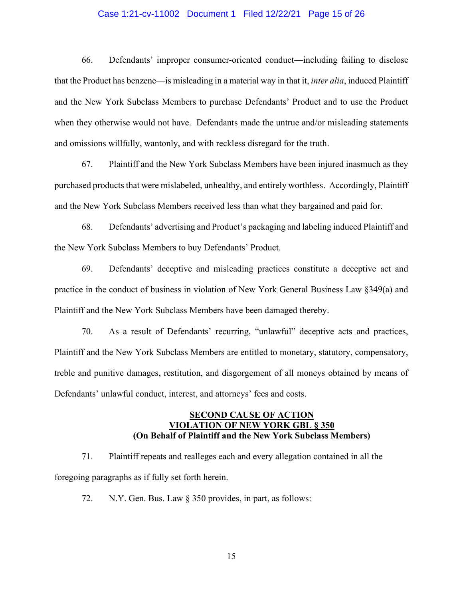## Case 1:21-cv-11002 Document 1 Filed 12/22/21 Page 15 of 26

66. Defendants' improper consumer-oriented conduct—including failing to disclose that the Product has benzene—is misleading in a material way in that it, *inter alia*, induced Plaintiff and the New York Subclass Members to purchase Defendants' Product and to use the Product when they otherwise would not have. Defendants made the untrue and/or misleading statements and omissions willfully, wantonly, and with reckless disregard for the truth.

67. Plaintiff and the New York Subclass Members have been injured inasmuch as they purchased products that were mislabeled, unhealthy, and entirely worthless. Accordingly, Plaintiff and the New York Subclass Members received less than what they bargained and paid for.

68. Defendants' advertising and Product's packaging and labeling induced Plaintiff and the New York Subclass Members to buy Defendants' Product.

69. Defendants' deceptive and misleading practices constitute a deceptive act and practice in the conduct of business in violation of New York General Business Law §349(a) and Plaintiff and the New York Subclass Members have been damaged thereby.

70. As a result of Defendants' recurring, "unlawful" deceptive acts and practices, Plaintiff and the New York Subclass Members are entitled to monetary, statutory, compensatory, treble and punitive damages, restitution, and disgorgement of all moneys obtained by means of Defendants' unlawful conduct, interest, and attorneys' fees and costs.

## **SECOND CAUSE OF ACTION VIOLATION OF NEW YORK GBL § 350 (On Behalf of Plaintiff and the New York Subclass Members)**

71. Plaintiff repeats and realleges each and every allegation contained in all the foregoing paragraphs as if fully set forth herein.

72. N.Y. Gen. Bus. Law § 350 provides, in part, as follows: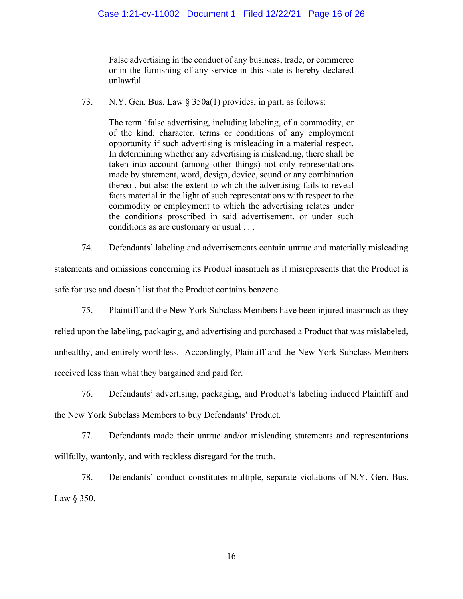False advertising in the conduct of any business, trade, or commerce or in the furnishing of any service in this state is hereby declared unlawful.

73. N.Y. Gen. Bus. Law § 350a(1) provides, in part, as follows:

The term 'false advertising, including labeling, of a commodity, or of the kind, character, terms or conditions of any employment opportunity if such advertising is misleading in a material respect. In determining whether any advertising is misleading, there shall be taken into account (among other things) not only representations made by statement, word, design, device, sound or any combination thereof, but also the extent to which the advertising fails to reveal facts material in the light of such representations with respect to the commodity or employment to which the advertising relates under the conditions proscribed in said advertisement, or under such conditions as are customary or usual . . .

74. Defendants' labeling and advertisements contain untrue and materially misleading statements and omissions concerning its Product inasmuch as it misrepresents that the Product is safe for use and doesn't list that the Product contains benzene.

75. Plaintiff and the New York Subclass Members have been injured inasmuch as they relied upon the labeling, packaging, and advertising and purchased a Product that was mislabeled, unhealthy, and entirely worthless. Accordingly, Plaintiff and the New York Subclass Members received less than what they bargained and paid for.

76. Defendants' advertising, packaging, and Product's labeling induced Plaintiff and the New York Subclass Members to buy Defendants' Product.

77. Defendants made their untrue and/or misleading statements and representations willfully, wantonly, and with reckless disregard for the truth.

78. Defendants' conduct constitutes multiple, separate violations of N.Y. Gen. Bus. Law § 350.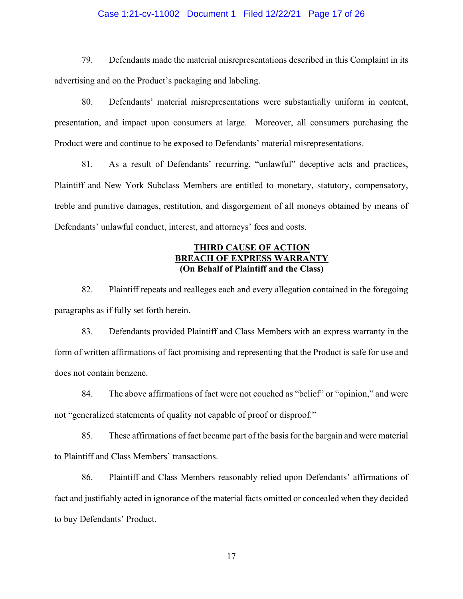## Case 1:21-cv-11002 Document 1 Filed 12/22/21 Page 17 of 26

79. Defendants made the material misrepresentations described in this Complaint in its advertising and on the Product's packaging and labeling.

80. Defendants' material misrepresentations were substantially uniform in content, presentation, and impact upon consumers at large. Moreover, all consumers purchasing the Product were and continue to be exposed to Defendants' material misrepresentations.

81. As a result of Defendants' recurring, "unlawful" deceptive acts and practices, Plaintiff and New York Subclass Members are entitled to monetary, statutory, compensatory, treble and punitive damages, restitution, and disgorgement of all moneys obtained by means of Defendants' unlawful conduct, interest, and attorneys' fees and costs.

## **THIRD CAUSE OF ACTION BREACH OF EXPRESS WARRANTY (On Behalf of Plaintiff and the Class)**

82. Plaintiff repeats and realleges each and every allegation contained in the foregoing paragraphs as if fully set forth herein.

83. Defendants provided Plaintiff and Class Members with an express warranty in the form of written affirmations of fact promising and representing that the Product is safe for use and does not contain benzene.

84. The above affirmations of fact were not couched as "belief" or "opinion," and were not "generalized statements of quality not capable of proof or disproof."

85. These affirmations of fact became part of the basis for the bargain and were material to Plaintiff and Class Members' transactions.

86. Plaintiff and Class Members reasonably relied upon Defendants' affirmations of fact and justifiably acted in ignorance of the material facts omitted or concealed when they decided to buy Defendants' Product.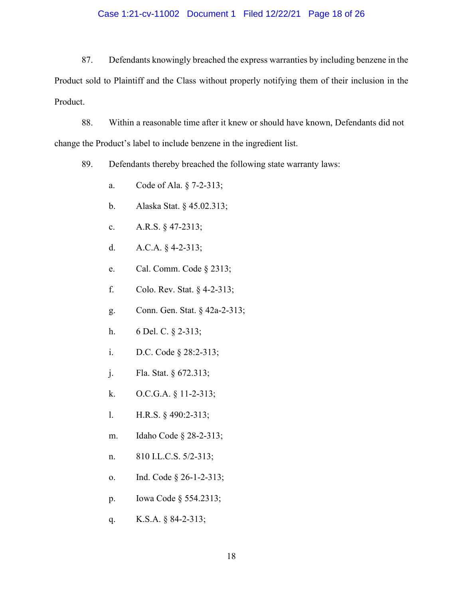## Case 1:21-cv-11002 Document 1 Filed 12/22/21 Page 18 of 26

87. Defendants knowingly breached the express warranties by including benzene in the Product sold to Plaintiff and the Class without properly notifying them of their inclusion in the Product.

88. Within a reasonable time after it knew or should have known, Defendants did not change the Product's label to include benzene in the ingredient list.

89. Defendants thereby breached the following state warranty laws:

- a. Code of Ala. § 7-2-313;
- b. Alaska Stat. § 45.02.313;
- c. A.R.S. § 47-2313;
- d. A.C.A. § 4-2-313;
- e. Cal. Comm. Code § 2313;
- f. Colo. Rev. Stat. § 4-2-313;
- g. Conn. Gen. Stat. § 42a-2-313;
- h. 6 Del. C. § 2-313;
- i. D.C. Code § 28:2-313;
- j. Fla. Stat. § 672.313;
- k. O.C.G.A. § 11-2-313;
- l. H.R.S. § 490:2-313;
- m. Idaho Code § 28-2-313;
- n. 810 I.L.C.S. 5/2-313;
- o. Ind. Code § 26-1-2-313;
- p. Iowa Code § 554.2313;
- q. K.S.A. § 84-2-313;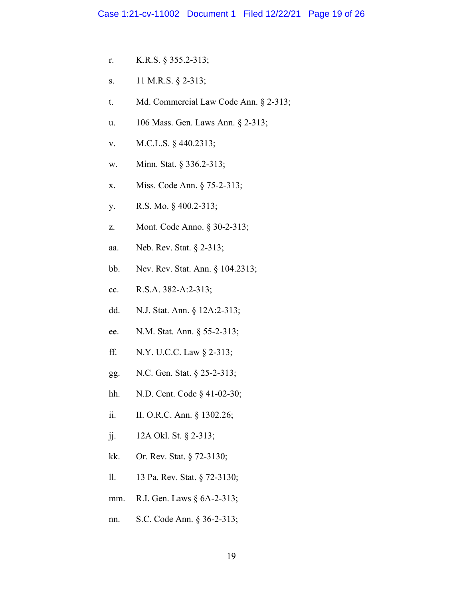- r. K.R.S. § 355.2-313;
- s. 11 M.R.S. § 2-313;
- t. Md. Commercial Law Code Ann. § 2-313;
- u. 106 Mass. Gen. Laws Ann. § 2-313;
- v. M.C.L.S. § 440.2313;
- w. Minn. Stat. § 336.2-313;
- x. Miss. Code Ann. § 75-2-313;
- y. R.S. Mo. § 400.2-313;
- z. Mont. Code Anno. § 30-2-313;
- aa. Neb. Rev. Stat. § 2-313;
- bb. Nev. Rev. Stat. Ann. § 104.2313;
- cc. R.S.A. 382-A:2-313;
- dd. N.J. Stat. Ann. § 12A:2-313;
- ee. N.M. Stat. Ann. § 55-2-313;
- ff. N.Y. U.C.C. Law § 2-313;
- gg. N.C. Gen. Stat. § 25-2-313;
- hh. N.D. Cent. Code § 41-02-30;
- ii. II. O.R.C. Ann. § 1302.26;
- jj. 12A Okl. St. § 2-313;
- kk. Or. Rev. Stat. § 72-3130;
- ll. 13 Pa. Rev. Stat. § 72-3130;
- mm. R.I. Gen. Laws § 6A-2-313;
- nn. S.C. Code Ann. § 36-2-313;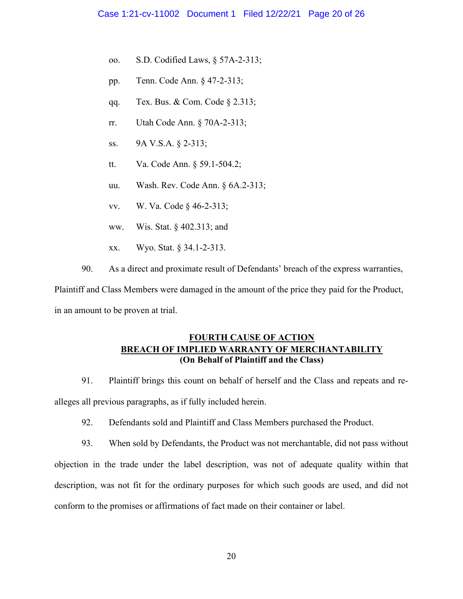- oo. S.D. Codified Laws, § 57A-2-313;
- pp. Tenn. Code Ann. § 47-2-313;
- qq. Tex. Bus. & Com. Code § 2.313;
- rr. Utah Code Ann. § 70A-2-313;
- ss. 9A V.S.A. § 2-313;
- tt. Va. Code Ann. § 59.1-504.2;
- uu. Wash. Rev. Code Ann. § 6A.2-313;
- vv. W. Va. Code § 46-2-313;
- ww. Wis. Stat. § 402.313; and
- xx. Wyo. Stat. § 34.1-2-313.
- 90. As a direct and proximate result of Defendants' breach of the express warranties,

Plaintiff and Class Members were damaged in the amount of the price they paid for the Product, in an amount to be proven at trial.

# **FOURTH CAUSE OF ACTION BREACH OF IMPLIED WARRANTY OF MERCHANTABILITY (On Behalf of Plaintiff and the Class)**

91. Plaintiff brings this count on behalf of herself and the Class and repeats and realleges all previous paragraphs, as if fully included herein.

92. Defendants sold and Plaintiff and Class Members purchased the Product.

93. When sold by Defendants, the Product was not merchantable, did not pass without objection in the trade under the label description, was not of adequate quality within that description, was not fit for the ordinary purposes for which such goods are used, and did not conform to the promises or affirmations of fact made on their container or label.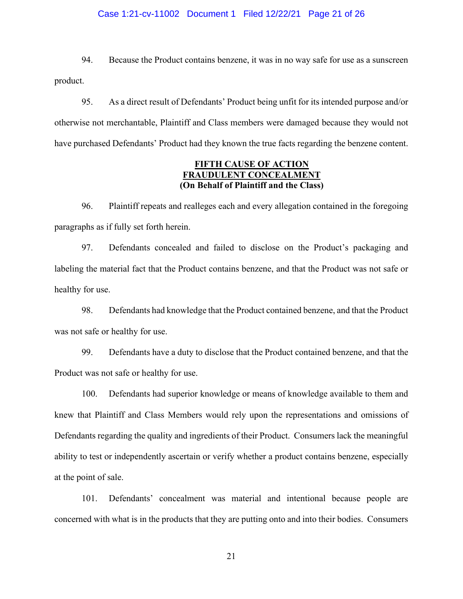## Case 1:21-cv-11002 Document 1 Filed 12/22/21 Page 21 of 26

94. Because the Product contains benzene, it was in no way safe for use as a sunscreen product.

95. As a direct result of Defendants' Product being unfit for its intended purpose and/or otherwise not merchantable, Plaintiff and Class members were damaged because they would not have purchased Defendants' Product had they known the true facts regarding the benzene content.

## **FIFTH CAUSE OF ACTION FRAUDULENT CONCEALMENT (On Behalf of Plaintiff and the Class)**

96. Plaintiff repeats and realleges each and every allegation contained in the foregoing paragraphs as if fully set forth herein.

97. Defendants concealed and failed to disclose on the Product's packaging and labeling the material fact that the Product contains benzene, and that the Product was not safe or healthy for use.

98. Defendants had knowledge that the Product contained benzene, and that the Product was not safe or healthy for use.

99. Defendants have a duty to disclose that the Product contained benzene, and that the Product was not safe or healthy for use.

100. Defendants had superior knowledge or means of knowledge available to them and knew that Plaintiff and Class Members would rely upon the representations and omissions of Defendants regarding the quality and ingredients of their Product. Consumers lack the meaningful ability to test or independently ascertain or verify whether a product contains benzene, especially at the point of sale.

101. Defendants' concealment was material and intentional because people are concerned with what is in the products that they are putting onto and into their bodies. Consumers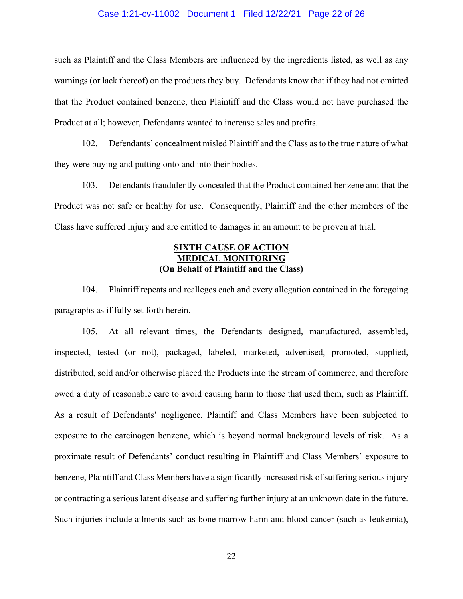### Case 1:21-cv-11002 Document 1 Filed 12/22/21 Page 22 of 26

such as Plaintiff and the Class Members are influenced by the ingredients listed, as well as any warnings (or lack thereof) on the products they buy. Defendants know that if they had not omitted that the Product contained benzene, then Plaintiff and the Class would not have purchased the Product at all; however, Defendants wanted to increase sales and profits.

102. Defendants' concealment misled Plaintiff and the Class as to the true nature of what they were buying and putting onto and into their bodies.

103. Defendants fraudulently concealed that the Product contained benzene and that the Product was not safe or healthy for use. Consequently, Plaintiff and the other members of the Class have suffered injury and are entitled to damages in an amount to be proven at trial.

## **SIXTH CAUSE OF ACTION MEDICAL MONITORING (On Behalf of Plaintiff and the Class)**

104. Plaintiff repeats and realleges each and every allegation contained in the foregoing paragraphs as if fully set forth herein.

105. At all relevant times, the Defendants designed, manufactured, assembled, inspected, tested (or not), packaged, labeled, marketed, advertised, promoted, supplied, distributed, sold and/or otherwise placed the Products into the stream of commerce, and therefore owed a duty of reasonable care to avoid causing harm to those that used them, such as Plaintiff. As a result of Defendants' negligence, Plaintiff and Class Members have been subjected to exposure to the carcinogen benzene, which is beyond normal background levels of risk. As a proximate result of Defendants' conduct resulting in Plaintiff and Class Members' exposure to benzene, Plaintiff and Class Members have a significantly increased risk of suffering serious injury or contracting a serious latent disease and suffering further injury at an unknown date in the future. Such injuries include ailments such as bone marrow harm and blood cancer (such as leukemia),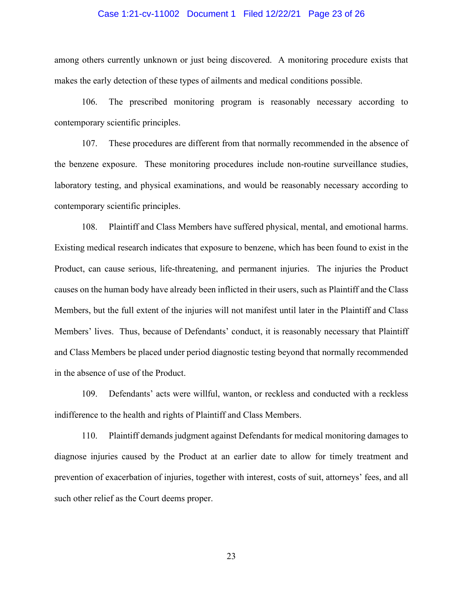## Case 1:21-cv-11002 Document 1 Filed 12/22/21 Page 23 of 26

among others currently unknown or just being discovered. A monitoring procedure exists that makes the early detection of these types of ailments and medical conditions possible.

106. The prescribed monitoring program is reasonably necessary according to contemporary scientific principles.

107. These procedures are different from that normally recommended in the absence of the benzene exposure. These monitoring procedures include non-routine surveillance studies, laboratory testing, and physical examinations, and would be reasonably necessary according to contemporary scientific principles.

108. Plaintiff and Class Members have suffered physical, mental, and emotional harms. Existing medical research indicates that exposure to benzene, which has been found to exist in the Product, can cause serious, life-threatening, and permanent injuries. The injuries the Product causes on the human body have already been inflicted in their users, such as Plaintiff and the Class Members, but the full extent of the injuries will not manifest until later in the Plaintiff and Class Members' lives. Thus, because of Defendants' conduct, it is reasonably necessary that Plaintiff and Class Members be placed under period diagnostic testing beyond that normally recommended in the absence of use of the Product.

109. Defendants' acts were willful, wanton, or reckless and conducted with a reckless indifference to the health and rights of Plaintiff and Class Members.

110. Plaintiff demands judgment against Defendants for medical monitoring damages to diagnose injuries caused by the Product at an earlier date to allow for timely treatment and prevention of exacerbation of injuries, together with interest, costs of suit, attorneys' fees, and all such other relief as the Court deems proper.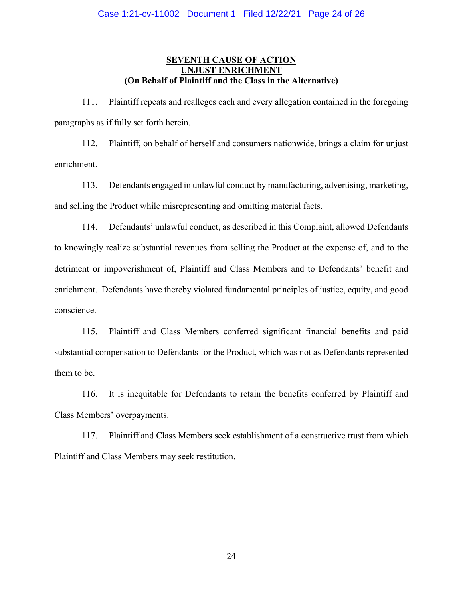## **SEVENTH CAUSE OF ACTION UNJUST ENRICHMENT (On Behalf of Plaintiff and the Class in the Alternative)**

111. Plaintiff repeats and realleges each and every allegation contained in the foregoing paragraphs as if fully set forth herein.

112. Plaintiff, on behalf of herself and consumers nationwide, brings a claim for unjust enrichment.

113. Defendants engaged in unlawful conduct by manufacturing, advertising, marketing, and selling the Product while misrepresenting and omitting material facts.

114. Defendants' unlawful conduct, as described in this Complaint, allowed Defendants to knowingly realize substantial revenues from selling the Product at the expense of, and to the detriment or impoverishment of, Plaintiff and Class Members and to Defendants' benefit and enrichment. Defendants have thereby violated fundamental principles of justice, equity, and good conscience.

115. Plaintiff and Class Members conferred significant financial benefits and paid substantial compensation to Defendants for the Product, which was not as Defendants represented them to be.

116. It is inequitable for Defendants to retain the benefits conferred by Plaintiff and Class Members' overpayments.

117. Plaintiff and Class Members seek establishment of a constructive trust from which Plaintiff and Class Members may seek restitution.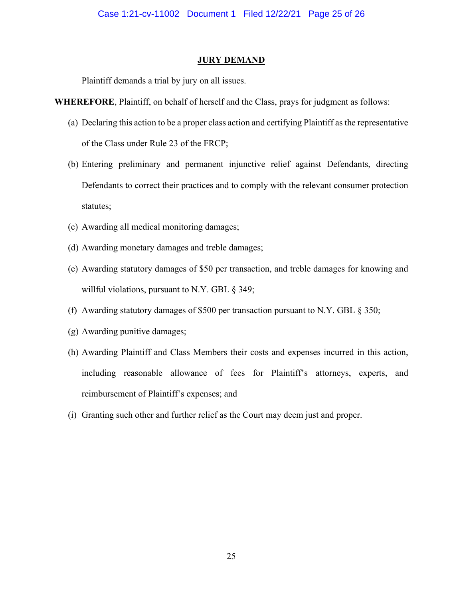#### **JURY DEMAND**

Plaintiff demands a trial by jury on all issues.

**WHEREFORE**, Plaintiff, on behalf of herself and the Class, prays for judgment as follows:

- (a) Declaring this action to be a proper class action and certifying Plaintiff as the representative of the Class under Rule 23 of the FRCP;
- (b) Entering preliminary and permanent injunctive relief against Defendants, directing Defendants to correct their practices and to comply with the relevant consumer protection statutes;
- (c) Awarding all medical monitoring damages;
- (d) Awarding monetary damages and treble damages;
- (e) Awarding statutory damages of \$50 per transaction, and treble damages for knowing and willful violations, pursuant to N.Y. GBL § 349;
- (f) Awarding statutory damages of \$500 per transaction pursuant to N.Y. GBL § 350;
- (g) Awarding punitive damages;
- (h) Awarding Plaintiff and Class Members their costs and expenses incurred in this action, including reasonable allowance of fees for Plaintiff's attorneys, experts, and reimbursement of Plaintiff's expenses; and
- (i) Granting such other and further relief as the Court may deem just and proper.